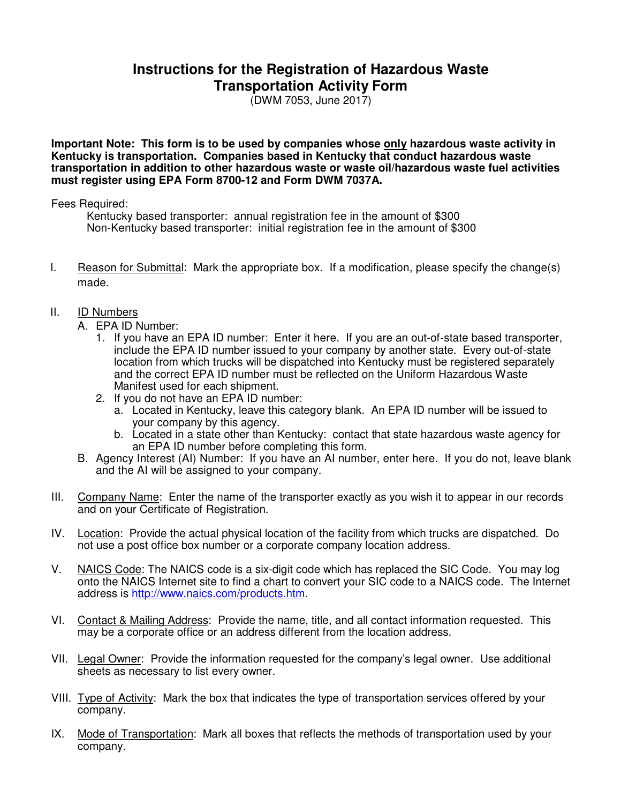## **Instructions for the Registration of Hazardous Waste Transportation Activity Form**

(DWM 7053, June 2017)

**Important Note: This form is to be used by companies whose only hazardous waste activity in Kentucky is transportation. Companies based in Kentucky that conduct hazardous waste transportation in addition to other hazardous waste or waste oil/hazardous waste fuel activities must register using EPA Form 8700-12 and Form DWM 7037A.** 

Fees Required:

Kentucky based transporter: annual registration fee in the amount of \$300 Non-Kentucky based transporter: initial registration fee in the amount of \$300

I. Reason for Submittal: Mark the appropriate box. If a modification, please specify the change(s) made.

## II. ID Numbers

- A. EPA ID Number:
	- 1. If you have an EPA ID number: Enter it here. If you are an out-of-state based transporter, include the EPA ID number issued to your company by another state. Every out-of-state location from which trucks will be dispatched into Kentucky must be registered separately and the correct EPA ID number must be reflected on the Uniform Hazardous Waste Manifest used for each shipment.
	- 2. If you do not have an EPA ID number:
		- a. Located in Kentucky, leave this category blank. An EPA ID number will be issued to your company by this agency.
		- b. Located in a state other than Kentucky: contact that state hazardous waste agency for an EPA ID number before completing this form.
- B. Agency Interest (AI) Number: If you have an AI number, enter here. If you do not, leave blank and the AI will be assigned to your company.
- III. Company Name: Enter the name of the transporter exactly as you wish it to appear in our records and on your Certificate of Registration.
- IV. Location: Provide the actual physical location of the facility from which trucks are dispatched. Do not use a post office box number or a corporate company location address.
- V. NAICS Code: The NAICS code is a six-digit code which has replaced the SIC Code. You may log onto the NAICS Internet site to find a chart to convert your SIC code to a NAICS code. The Internet address is http://www.naics.com/products.htm.
- VI. Contact & Mailing Address: Provide the name, title, and all contact information requested. This may be a corporate office or an address different from the location address.
- VII. Legal Owner: Provide the information requested for the company's legal owner. Use additional sheets as necessary to list every owner.
- VIII. Type of Activity: Mark the box that indicates the type of transportation services offered by your company.
- IX. Mode of Transportation: Mark all boxes that reflects the methods of transportation used by your company.